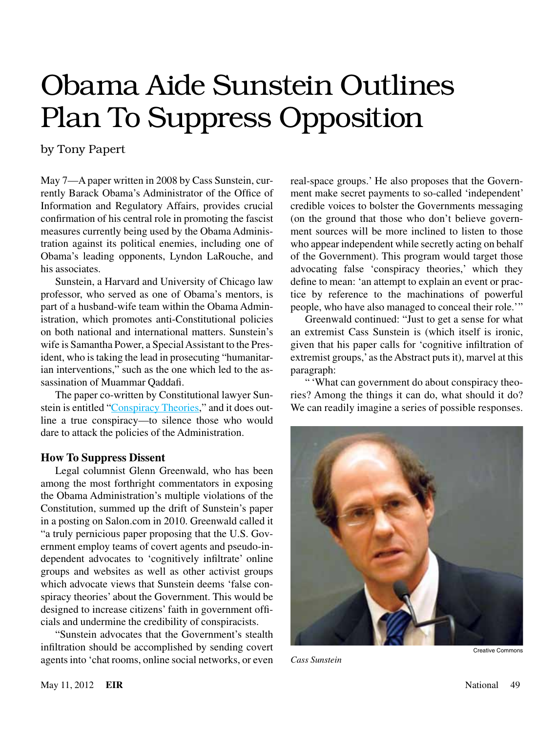# Obama Aide Sunstein Outlines Plan To Suppress Opposition

by Tony Papert

May 7—A paper written in 2008 by Cass Sunstein, currently Barack Obama's Administrator of the Office of Information and Regulatory Affairs, provides crucial confirmation of his central role in promoting the fascist measures currently being used by the Obama Administration against its political enemies, including one of Obama's leading opponents, Lyndon LaRouche, and his associates.

Sunstein, a Harvard and University of Chicago law professor, who served as one of Obama's mentors, is part of a husband-wife team within the Obama Administration, which promotes anti-Constitutional policies on both national and international matters. Sunstein's wife is Samantha Power, a Special Assistant to the President, who is taking the lead in prosecuting "humanitarian interventions," such as the one which led to the assassination of Muammar Qaddafi.

The paper co-written by Constitutional lawyer Sunstein is entitled "[Conspiracy Theories](http://papers.ssrn.com/sol3/papers.cfm?abstract_id=1084585)," and it does outline a true conspiracy—to silence those who would dare to attack the policies of the Administration.

### **How To Suppress Dissent**

Legal columnist Glenn Greenwald, who has been among the most forthright commentators in exposing the Obama Administration's multiple violations of the Constitution, summed up the drift of Sunstein's paper in a posting on Salon.com in 2010. Greenwald called it "a truly pernicious paper proposing that the U.S. Government employ teams of covert agents and pseudo-independent advocates to 'cognitively infiltrate' online groups and websites as well as other activist groups which advocate views that Sunstein deems 'false conspiracy theories' about the Government. This would be designed to increase citizens' faith in government officials and undermine the credibility of conspiracists.

"Sunstein advocates that the Government's stealth infiltration should be accomplished by sending covert agents into 'chat rooms, online social networks, or even real-space groups.' He also proposes that the Government make secret payments to so-called 'independent' credible voices to bolster the Governments messaging (on the ground that those who don't believe government sources will be more inclined to listen to those who appear independent while secretly acting on behalf of the Government). This program would target those advocating false 'conspiracy theories,' which they define to mean: 'an attempt to explain an event or practice by reference to the machinations of powerful people, who have also managed to conceal their role.'"

Greenwald continued: "Just to get a sense for what an extremist Cass Sunstein is (which itself is ironic, given that his paper calls for 'cognitive infiltration of extremist groups,' as the Abstract puts it), marvel at this paragraph:

" 'What can government do about conspiracy theories? Among the things it can do, what should it do? We can readily imagine a series of possible responses.



*Cass Sunstein*

Creative Commons